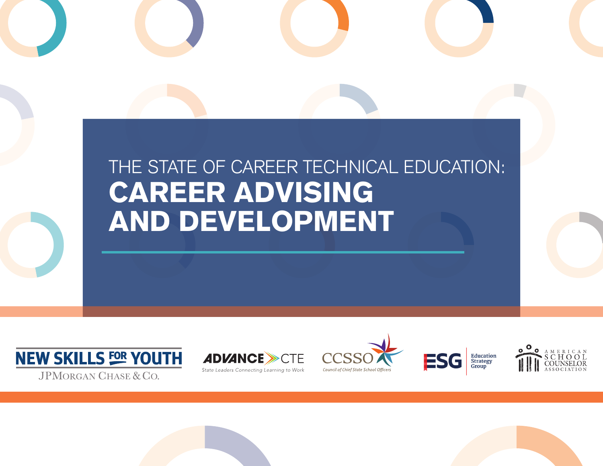# THE STATE OF CAREER TECHNICAL EDUCATION: CAREER ADVISING AND DEVELOPMENT











**JPMORGAN CHASE & CO.**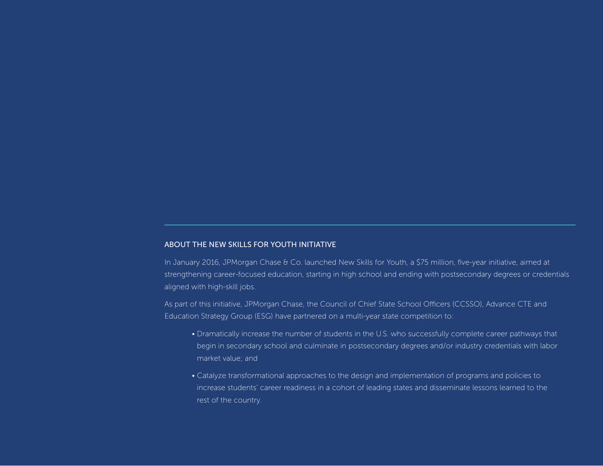#### ABOUT THE NEW SKILLS FOR YOUTH INITIATIVE

In January 2016, JPMorgan Chase & Co. launched New Skills for Youth, a \$75 million, five-year initiative, aimed at strengthening career-focused education, starting in high school and ending with postsecondary degrees or credentials aligned with high-skill jobs.

As part of this initiative, JPMorgan Chase, the Council of Chief State School Officers (CCSSO), Advance CTE and Education Strategy Group (ESG) have partnered on a multi-year state competition to:

- Dramatically increase the number of students in the U.S. who successfully complete career pathways that begin in secondary school and culminate in postsecondary degrees and/or industry credentials with labor market value; and
- Catalyze transformational approaches to the design and implementation of programs and policies to increase students' career readiness in a cohort of leading states and disseminate lessons learned to the rest of the country.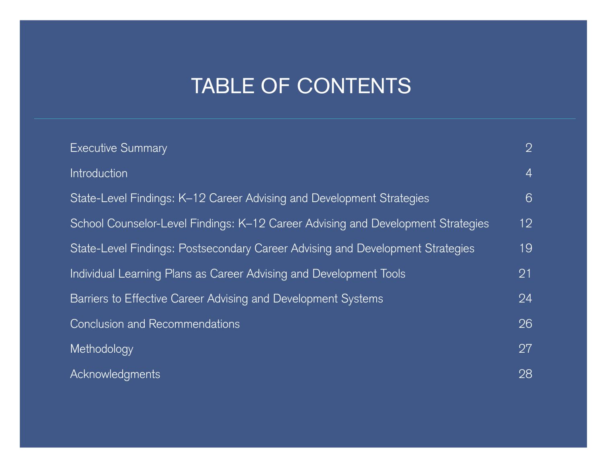# TABLE OF CONTENTS

| <b>Executive Summary</b>                                                         | $\overline{2}$  |
|----------------------------------------------------------------------------------|-----------------|
| Introduction                                                                     | $\overline{4}$  |
| State-Level Findings: K-12 Career Advising and Development Strategies            | 6               |
| School Counselor-Level Findings: K-12 Career Advising and Development Strategies | 12 <sup>°</sup> |
| State-Level Findings: Postsecondary Career Advising and Development Strategies   | 19              |
| Individual Learning Plans as Career Advising and Development Tools               | 21              |
| Barriers to Effective Career Advising and Development Systems                    | 24              |
| <b>Conclusion and Recommendations</b>                                            | 26              |
| Methodology                                                                      | 27              |
| Acknowledgments                                                                  | 28              |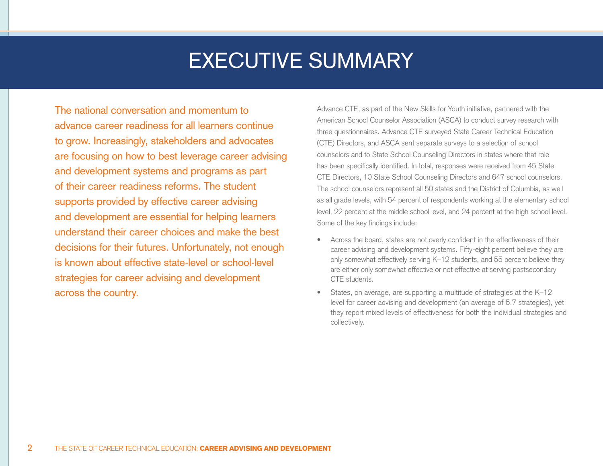# EXECUTIVE SUMMARY

The national conversation and momentum to advance career readiness for all learners continue to grow. Increasingly, stakeholders and advocates are focusing on how to best leverage career advising and development systems and programs as part of their career readiness reforms. The student supports provided by effective career advising and development are essential for helping learners understand their career choices and make the best decisions for their futures. Unfortunately, not enough is known about effective state-level or school-level strategies for career advising and development across the country.

Advance CTE, as part of the New Skills for Youth initiative, partnered with the American School Counselor Association (ASCA) to conduct survey research with three questionnaires. Advance CTE surveyed State Career Technical Education (CTE) Directors, and ASCA sent separate surveys to a selection of school counselors and to State School Counseling Directors in states where that role has been specifically identified. In total, responses were received from 45 State CTE Directors, 10 State School Counseling Directors and 647 school counselors. The school counselors represent all 50 states and the District of Columbia, as well as all grade levels, with 54 percent of respondents working at the elementary school level, 22 percent at the middle school level, and 24 percent at the high school level. Some of the key findings include:

- Across the board, states are not overly confident in the effectiveness of their career advising and development systems. Fifty-eight percent believe they are only somewhat effectively serving K–12 students, and 55 percent believe they are either only somewhat effective or not effective at serving postsecondary CTE students.
- States, on average, are supporting a multitude of strategies at the K–12 level for career advising and development (an average of 5.7 strategies), yet they report mixed levels of effectiveness for both the individual strategies and collectively.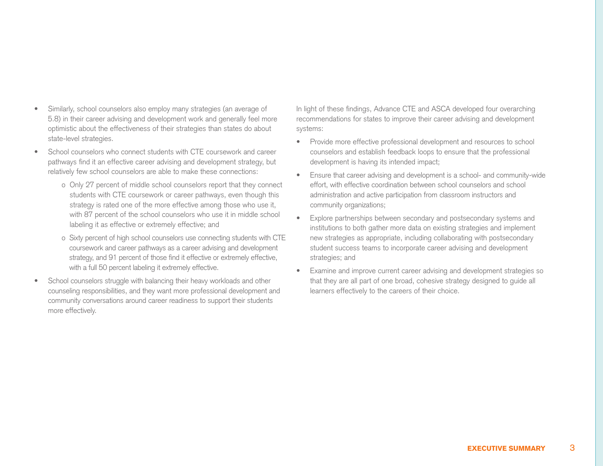- Similarly, school counselors also employ many strategies (an average of 5.8) in their career advising and development work and generally feel more optimistic about the effectiveness of their strategies than states do about state-level strategies.
- School counselors who connect students with CTE coursework and career pathways find it an effective career advising and development strategy, but relatively few school counselors are able to make these connections:
	- o Only 27 percent of middle school counselors report that they connect students with CTE coursework or career pathways, even though this strategy is rated one of the more effective among those who use it, with 87 percent of the school counselors who use it in middle school labeling it as effective or extremely effective; and
	- o Sixty percent of high school counselors use connecting students with CTE coursework and career pathways as a career advising and development strategy, and 91 percent of those find it effective or extremely effective, with a full 50 percent labeling it extremely effective.
- School counselors struggle with balancing their heavy workloads and other counseling responsibilities, and they want more professional development and community conversations around career readiness to support their students more effectively.

In light of these findings, Advance CTE and ASCA developed four overarching recommendations for states to improve their career advising and development systems:

- Provide more effective professional development and resources to school counselors and establish feedback loops to ensure that the professional development is having its intended impact;
- Ensure that career advising and development is a school- and community-wide effort, with effective coordination between school counselors and school administration and active participation from classroom instructors and community organizations;
- Explore partnerships between secondary and postsecondary systems and institutions to both gather more data on existing strategies and implement new strategies as appropriate, including collaborating with postsecondary student success teams to incorporate career advising and development strategies; and
- Examine and improve current career advising and development strategies so that they are all part of one broad, cohesive strategy designed to guide all learners effectively to the careers of their choice.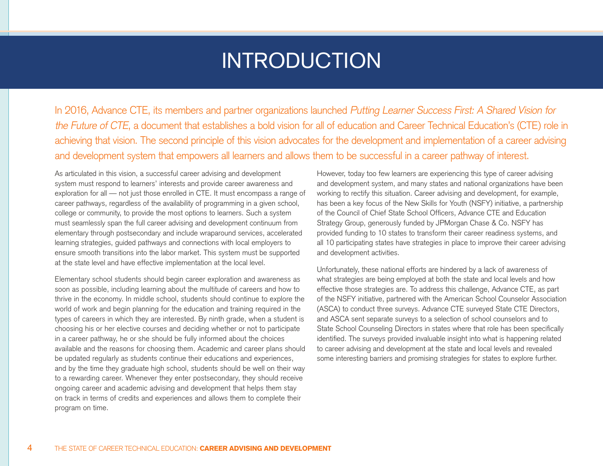# INTRODUCTION

In 2016, Advance CTE, its members and partner organizations launched Putting Learner Success First: A Shared Vision for the Future of CTE, a document that establishes a bold vision for all of education and Career Technical Education's (CTE) role in achieving that vision. The second principle of this vision advocates for the development and implementation of a career advising and development system that empowers all learners and allows them to be successful in a career pathway of interest.

As articulated in this vision, a successful career advising and development system must respond to learners' interests and provide career awareness and exploration for all — not just those enrolled in CTE. It must encompass a range of career pathways, regardless of the availability of programming in a given school, college or community, to provide the most options to learners. Such a system must seamlessly span the full career advising and development continuum from elementary through postsecondary and include wraparound services, accelerated learning strategies, guided pathways and connections with local employers to ensure smooth transitions into the labor market. This system must be supported at the state level and have effective implementation at the local level.

Elementary school students should begin career exploration and awareness as soon as possible, including learning about the multitude of careers and how to thrive in the economy. In middle school, students should continue to explore the world of work and begin planning for the education and training required in the types of careers in which they are interested. By ninth grade, when a student is choosing his or her elective courses and deciding whether or not to participate in a career pathway, he or she should be fully informed about the choices available and the reasons for choosing them. Academic and career plans should be updated regularly as students continue their educations and experiences, and by the time they graduate high school, students should be well on their way to a rewarding career. Whenever they enter postsecondary, they should receive ongoing career and academic advising and development that helps them stay on track in terms of credits and experiences and allows them to complete their program on time.

However, today too few learners are experiencing this type of career advising and development system, and many states and national organizations have been working to rectify this situation. Career advising and development, for example, has been a key focus of the New Skills for Youth (NSFY) initiative, a partnership of the Council of Chief State School Officers, Advance CTE and Education Strategy Group, generously funded by JPMorgan Chase & Co. NSFY has provided funding to 10 states to transform their career readiness systems, and all 10 participating states have strategies in place to improve their career advising and development activities.

Unfortunately, these national efforts are hindered by a lack of awareness of what strategies are being employed at both the state and local levels and how effective those strategies are. To address this challenge, Advance CTE, as part of the NSFY initiative, partnered with the American School Counselor Association (ASCA) to conduct three surveys. Advance CTE surveyed State CTE Directors, and ASCA sent separate surveys to a selection of school counselors and to State School Counseling Directors in states where that role has been specifically identified. The surveys provided invaluable insight into what is happening related to career advising and development at the state and local levels and revealed some interesting barriers and promising strategies for states to explore further.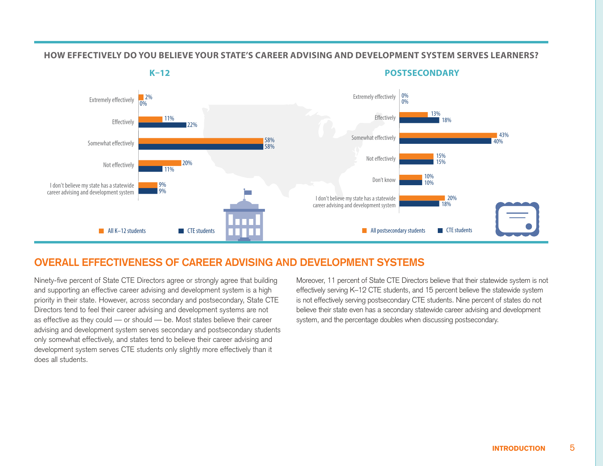#### **HOW EFFECTIVELY DO YOU BELIEVE YOUR STATE'S CAREER ADVISING AND DEVELOPMENT SYSTEM SERVES LEARNERS?**

**How eectively do you believe your state's career advising and development system serves** K–12 **learners?**

**How eectively do you believe your state's career advising and development system currently serves** postsecondary **learners? K–12 POSTSECONDARY**



### **OVERALL EFFECTIVENESS OF CAREER ADVISING AND DEVELOPMENT SYSTEMS**

Ninety-five percent of State CTE Directors agree or strongly agree that building and supporting an effective career advising and development system is a high priority in their state. However, across secondary and postsecondary, State CTE Directors tend to feel their career advising and development systems are not as effective as they could — or should — be. Most states believe their career advising and development system serves secondary and postsecondary students only somewhat effectively, and states tend to believe their career advising and development system serves CTE students only slightly more effectively than it does all students.

Moreover, 11 percent of State CTE Directors believe that their statewide system is not effectively serving K–12 CTE students, and 15 percent believe the statewide system is not effectively serving postsecondary CTE students. Nine percent of states do not believe their state even has a secondary statewide career advising and development system, and the percentage doubles when discussing postsecondary.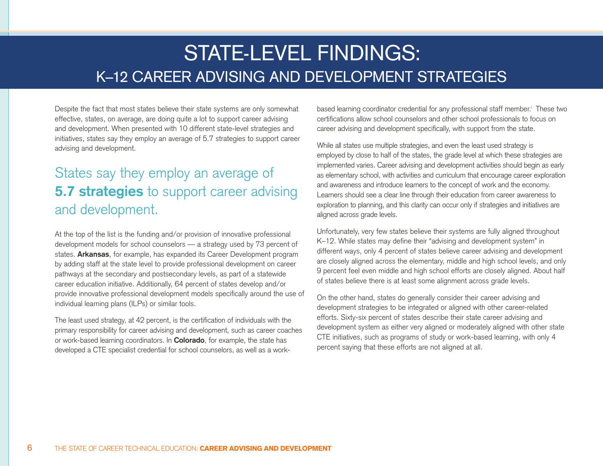# STATE-LEVEL FINDINGS: K–12 CAREER ADVISING AND DEVELOPMENT STRATEGIES

Despite the fact that most states believe their state systems are only somewhat effective, states, on average, are doing quite a lot to support career advising and development. When presented with 10 different state-level strategies and initiatives, states say they employ an average of 5.7 strategies to support career advising and development.

## States say they employ an average of **5.7 strategies** to support career advising and development.

At the top of the list is the funding and/or provision of innovative professional development models for school counselors — a strategy used by 73 percent of states. **Arkansas**, for example, has expanded its Career Development program by adding staff at the state level to provide professional development on career pathways at the secondary and postsecondary levels, as part of a statewide career education initiative. Additionally, 64 percent of states develop and/or provide innovative professional development models specifically around the use of individual learning plans (ILPs) or similar tools.

The least used strategy, at 42 percent, is the certification of individuals with the primary responsibility for career advising and development, such as career coaches or work-based learning coordinators. In **Colorado**, for example, the state has developed a CTE specialist credential for school counselors, as well as a work-

based learning coordinator credential for any professional staff member.<sup>i</sup> These two certifications allow school counselors and other school professionals to focus on career advising and development specifically, with support from the state.

While all states use multiple strategies, and even the least used strategy is employed by close to half of the states, the grade level at which these strategies are implemented varies. Career advising and development activities should begin as early as elementary school, with activities and curriculum that encourage career exploration and awareness and introduce learners to the concept of work and the economy. Learners should see a clear line through their education from career awareness to exploration to planning, and this clarity can occur only if strategies and initiatives are aligned across grade levels.

Unfortunately, very few states believe their systems are fully aligned throughout K–12. While states may define their "advising and development system" in different ways, only 4 percent of states believe career advising and development are closely aligned across the elementary, middle and high school levels, and only 9 percent feel even middle and high school efforts are closely aligned. About half of states believe there is at least some alignment across grade levels.

On the other hand, states do generally consider their career advising and development strategies to be integrated or aligned with other career-related efforts. Sixty-six percent of states describe their state career advising and development system as either very aligned or moderately aligned with other state CTE initiatives, such as programs of study or work-based learning, with only 4 percent saying that these efforts are not aligned at all.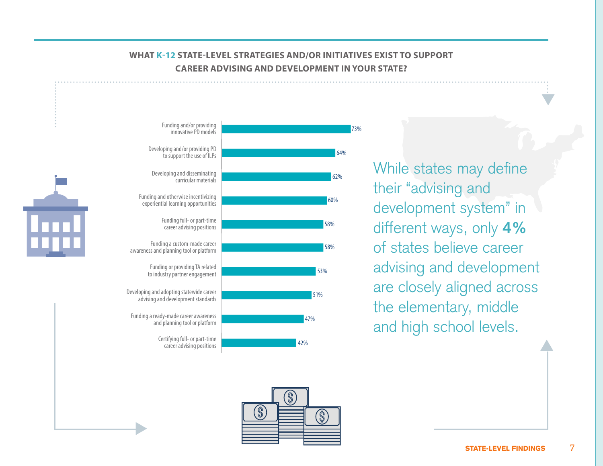### **WHAT K-12 STATE-LEVEL STRATEGIES AND/OR INITIATIVES EXIST TO SUPPORT CAREER ADVISING AND DEVELOPMENT IN YOUR STATE?**



While states may define their "advising and development system" in different ways, only **4%** of states believe career advising and development are closely aligned across the elementary, middle and high school levels.



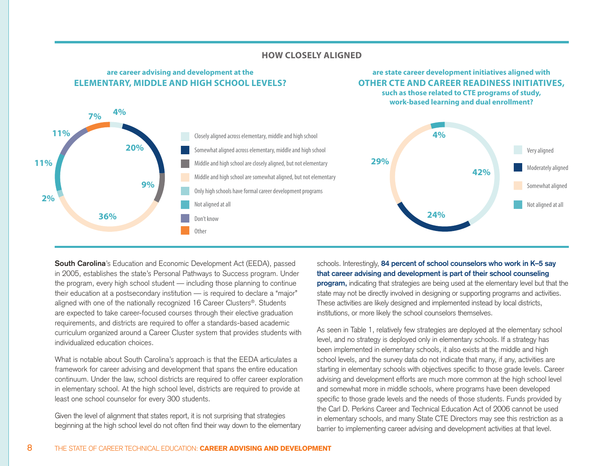

#### **HOW CLOSELY ALIGNED**

**South Carolina**'s Education and Economic Development Act (EEDA), passed in 2005, establishes the state's Personal Pathways to Success program. Under the program, every high school student — including those planning to continue their education at a postsecondary institution — is required to declare a "major" aligned with one of the nationally recognized 16 Career Clusters®. Students are expected to take career-focused courses through their elective graduation requirements, and districts are required to offer a standards-based academic curriculum organized around a Career Cluster system that provides students with individualized education choices.

**are career advising and development at the** 

Other

What is notable about South Carolina's approach is that the EEDA articulates a framework for career advising and development that spans the entire education continuum. Under the law, school districts are required to offer career exploration in elementary school. At the high school level, districts are required to provide at least one school counselor for every 300 students.

Given the level of alignment that states report, it is not surprising that strategies beginning at the high school level do not often find their way down to the elementary

schools. Interestingly, **84 percent of school counselors who work in K–5 say that career advising and development is part of their school counseling program**, indicating that strategies are being used at the elementary level but that the state may not be directly involved in designing or supporting programs and activities. These activities are likely designed and implemented instead by local districts, institutions, or more likely the school counselors themselves.

**are state career development initiatives aligned with** 

0% 10% 20% 30% 40%

As seen in Table 1, relatively few strategies are deployed at the elementary school level, and no strategy is deployed only in elementary schools. If a strategy has been implemented in elementary schools, it also exists at the middle and high school levels, and the survey data do not indicate that many, if any, activities are starting in elementary schools with objectives specific to those grade levels. Career advising and development efforts are much more common at the high school level and somewhat more in middle schools, where programs have been developed specific to those grade levels and the needs of those students. Funds provided by the Carl D. Perkins Career and Technical Education Act of 2006 cannot be used in elementary schools, and many State CTE Directors may see this restriction as a barrier to implementing career advising and development activities at that level.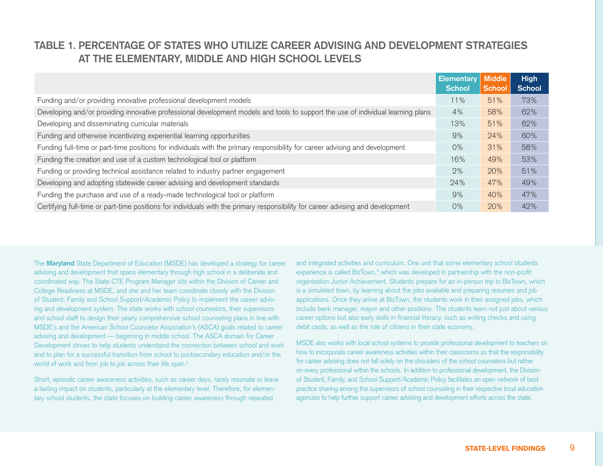## **TABLE 1. PERCENTAGE OF STATES WHO UTILIZE CAREER ADVISING AND DEVELOPMENT STRATEGIES AT THE ELEMENTARY, MIDDLE AND HIGH SCHOOL LEVELS**

|                                                                                                                                  | <b>Elementary</b> | <b>Middle</b> | <b>High</b>   |
|----------------------------------------------------------------------------------------------------------------------------------|-------------------|---------------|---------------|
|                                                                                                                                  | <b>School</b>     | <b>School</b> | <b>School</b> |
| Funding and/or providing innovative professional development models                                                              | 11%               | 51%           | 73%           |
| Developing and/or providing innovative professional development models and tools to support the use of individual learning plans | 4%                | 58%           | 62%           |
| Developing and disseminating curricular materials                                                                                | 13%               | 51%           | 62%           |
| Funding and otherwise incentivizing experiential learning opportunities                                                          | 9%                | 24%           | 60%           |
| Funding full-time or part-time positions for individuals with the primary responsibility for career advising and development     | 0%                | 31%           | 58%           |
| Funding the creation and use of a custom technological tool or platform                                                          | 16%               | 49%           | 53%           |
| Funding or providing technical assistance related to industry partner engagement                                                 | 2%                | 20%           | 51%           |
| Developing and adopting statewide career advising and development standards                                                      | 24%               | 47%           | 49%           |
| Funding the purchase and use of a ready-made technological tool or platform                                                      | 9%                | 40%           | 47%           |
| Certifying full-time or part-time positions for individuals with the primary responsibility for career advising and development  | 0%                | 20%           | 42%           |

The **Maryland** State Department of Education (MSDE) has developed a strategy for career advising and development that spans elementary through high school in a deliberate and coordinated way. The State CTE Program Manager sits within the Division of Career and College Readiness at MSDE, and she and her team coordinate closely with the Division of Student, Family and School Support/Academic Policy to implement the career advising and development system. The state works with school counselors, their supervisors and school staff to design their yearly comprehensive school counseling plans in line with MSDE's and the American School Counselor Association's (ASCA) goals related to career advising and development — beginning in middle school. The ASCA domain for Career Development strives to help students understand the connection between school and work and to plan for a successful transition from school to postsecondary education and/or the world of work and from job to job across their life span.<sup>ii</sup>

Short, episodic career awareness activities, such as career days, rarely resonate or leave a lasting impact on students, particularly at the elementary level. Therefore, for elementary school students, the state focuses on building career awareness through repeated

and integrated activities and curriculum. One unit that some elementary school students experience is called BizTown,<sup>iii</sup> which was developed in partnership with the non-profit organization Junior Achievement. Students prepare for an in-person trip to BizTown, which is a simulated town, by learning about the jobs available and preparing resumes and job applications. Once they arrive at BizTown, the students work in their assigned jobs, which include bank manager, mayor and other positions. The students learn not just about various career options but also early skills in financial literacy, such as writing checks and using debit cards, as well as the role of citizens in their state economy.

MSDE also works with local school systems to provide professional development to teachers on how to incorporate career awareness activities within their classrooms so that the responsibility for career advising does not fall solely on the shoulders of the school counselors but rather on every professional within the schools. In addition to professional development, the Division of Student, Family, and School Support/Academic Policy facilitates an open network of best practice sharing among the supervisors of school counseling in their respective local education agencies to help further support career advising and development efforts across the state.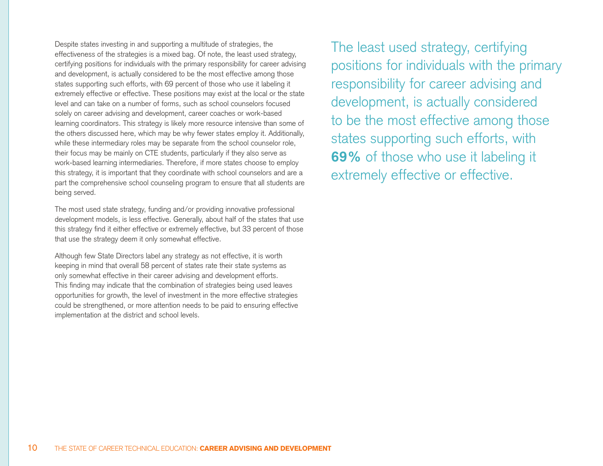Despite states investing in and supporting a multitude of strategies, the effectiveness of the strategies is a mixed bag. Of note, the least used strategy, certifying positions for individuals with the primary responsibility for career advising and development, is actually considered to be the most effective among those states supporting such efforts, with 69 percent of those who use it labeling it extremely effective or effective. These positions may exist at the local or the state level and can take on a number of forms, such as school counselors focused solely on career advising and development, career coaches or work-based learning coordinators. This strategy is likely more resource intensive than some of the others discussed here, which may be why fewer states employ it. Additionally, while these intermediary roles may be separate from the school counselor role, their focus may be mainly on CTE students, particularly if they also serve as work-based learning intermediaries. Therefore, if more states choose to employ this strategy, it is important that they coordinate with school counselors and are a part the comprehensive school counseling program to ensure that all students are being served.

The most used state strategy, funding and/or providing innovative professional development models, is less effective. Generally, about half of the states that use this strategy find it either effective or extremely effective, but 33 percent of those that use the strategy deem it only somewhat effective.

Although few State Directors label any strategy as not effective, it is worth keeping in mind that overall 58 percent of states rate their state systems as only somewhat effective in their career advising and development efforts. This finding may indicate that the combination of strategies being used leaves opportunities for growth, the level of investment in the more effective strategies could be strengthened, or more attention needs to be paid to ensuring effective implementation at the district and school levels.

The least used strategy, certifying positions for individuals with the primary responsibility for career advising and development, is actually considered to be the most effective among those states supporting such efforts, with **69%** of those who use it labeling it extremely effective or effective.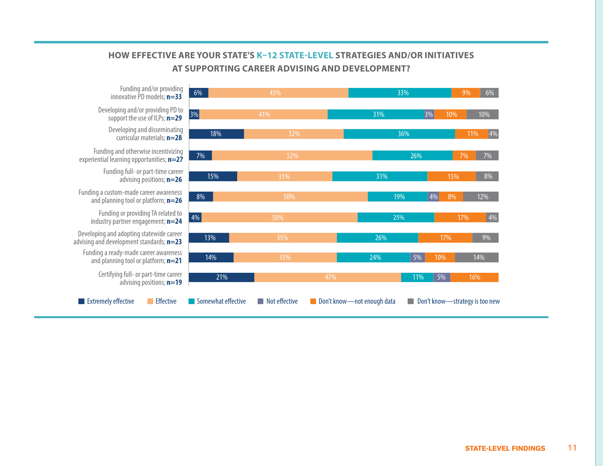### HOW EFFECTIVE ARE YOUR STATE'S K-12 STATE-LEVEL STRATEGIES AND/OR INITIATIVES **initiatives at supporting career advising and development? AT SUPPORTING CAREER ADVISING AND DEVELOPMENT?**



innovative PD models; **n=33** Developing and/or providing PD to support the use of ILPs; **n=29**

Developing and disseminating curricular materials; **n=28**

Funding and otherwise incentivizing experiential learning opportunities; **n=27**

> Funding full- or part-time career advising positions; **n=26**

Funding a custom-made career awareness and planning tool or platform; **n=26**

> Funding or providing TA related to industry partner engagement; **n=24**

Developing and adopting statewide career advising and development standards; **n=23**

Funding a ready-made career awareness and planning tool or platform; **n=21**

> Certifying full- or part-time career advising positions; **n=19**

STATE-LEVEL FINDINGS 11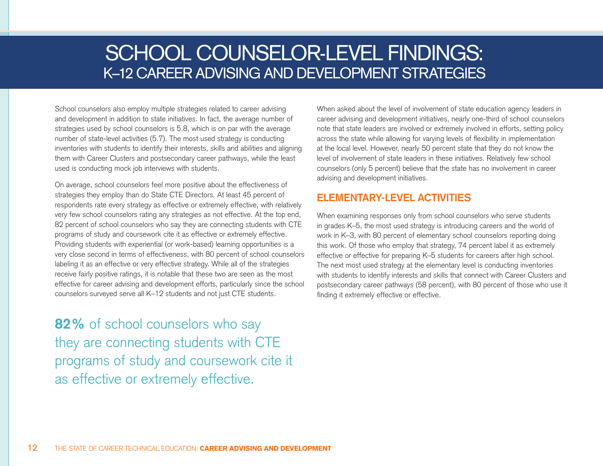# SCHOOL COUNSELOR-LEVEL FINDINGS: K–12 CAREER ADVISING AND DEVELOPMENT STRATEGIES

School counselors also employ multiple strategies related to career advising and development in addition to state initiatives. In fact, the average number of strategies used by school counselors is 5.8, which is on par with the average number of state-level activities (5.7). The most used strategy is conducting inventories with students to identify their interests, skills and abilities and aligning them with Career Clusters and postsecondary career pathways, while the least used is conducting mock job interviews with students.

On average, school counselors feel more positive about the effectiveness of strategies they employ than do State CTE Directors. At least 45 percent of respondents rate every strategy as effective or extremely effective, with relatively very few school counselors rating any strategies as not effective. At the top end, 82 percent of school counselors who say they are connecting students with CTE programs of study and coursework cite it as effective or extremely effective. Providing students with experiential (or work-based) learning opportunities is a very close second in terms of effectiveness, with 80 percent of school counselors labeling it as an effective or very effective strategy. While all of the strategies receive fairly positive ratings, it is notable that these two are seen as the most effective for career advising and development efforts, particularly since the school counselors surveyed serve all K–12 students and not just CTE students.

**82%** of school counselors who say they are connecting students with CTE programs of study and coursework cite it as effective or extremely effective.

When asked about the level of involvement of state education agency leaders in career advising and development initiatives, nearly one-third of school counselors note that state leaders are involved or extremely involved in efforts, setting policy across the state while allowing for varying levels of flexibility in implementation at the local level. However, nearly 50 percent state that they do not know the level of involvement of state leaders in these initiatives. Relatively few school counselors (only 5 percent) believe that the state has no involvement in career advising and development initiatives.

## **ELEMENTARY-LEVEL ACTIVITIES**

When examining responses only from school counselors who serve students in grades K–5, the most used strategy is introducing careers and the world of work in K–3, with 80 percent of elementary school counselors reporting doing this work. Of those who employ that strategy, 74 percent label it as extremely effective or effective for preparing K–5 students for careers after high school. The next most used strategy at the elementary level is conducting inventories with students to identify interests and skills that connect with Career Clusters and postsecondary career pathways (58 percent), with 80 percent of those who use it finding it extremely effective or effective.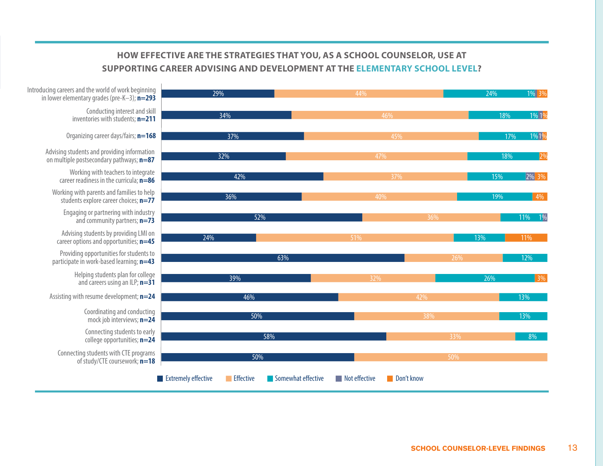### **HOW EFFECTIVE ARE THE STRATEGIES THAT YOU, AS A SCHOOL COUNSELOR, USE AT advising and development at the elementary school level? SUPPORTING CAREER ADVISING AND DEVELOPMENT AT THE ELEMENTARY SCHOOL LEVEL?**

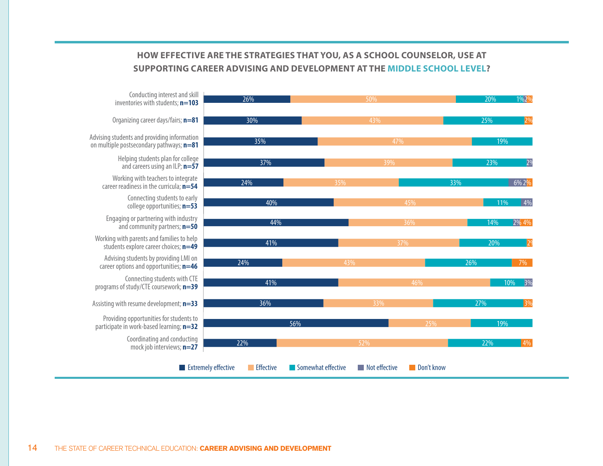#### **HOW AND AND ATTER ATTE MANUEL CARE AT SUPPORTION advising and development at the middle school level? SUPPORTING CAREER ADVISING AND DEVELOPMENT AT THE MIDDLE SCHOOL LEVEL?HOW EFFECTIVE ARE THE STRATEGIES THAT YOU, AS A SCHOOL COUNSELOR, USE AT**

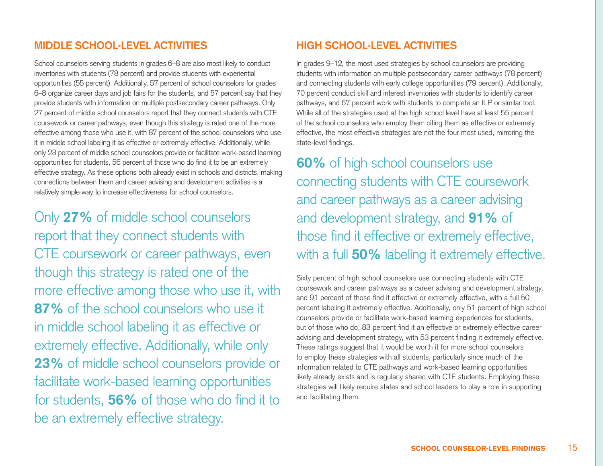## **MIDDLE SCHOOL-LEVEL ACTIVITIES**

School counselors serving students in grades 6–8 are also most likely to conduct inventories with students (78 percent) and provide students with experiential opportunities (55 percent). Additionally, 57 percent of school counselors for grades 6–8 organize career days and job fairs for the students, and 57 percent say that they provide students with information on multiple postsecondary career pathways. Only 27 percent of middle school counselors report that they connect students with CTE coursework or career pathways, even though this strategy is rated one of the more effective among those who use it, with 87 percent of the school counselors who use it in middle school labeling it as effective or extremely effective. Additionally, while only 23 percent of middle school counselors provide or facilitate work-based learning opportunities for students, 56 percent of those who do find it to be an extremely effective strategy. As these options both already exist in schools and districts, making connections between them and career advising and development activities is a relatively simple way to increase effectiveness for school counselors.

Only **27%** of middle school counselors report that they connect students with CTE coursework or career pathways, even though this strategy is rated one of the more effective among those who use it, with **87%** of the school counselors who use it in middle school labeling it as effective or extremely effective. Additionally, while only **23%** of middle school counselors provide or facilitate work-based learning opportunities for students, **56%** of those who do find it to be an extremely effective strategy.

### **HIGH SCHOOL-LEVEL ACTIVITIES**

In grades 9–12, the most used strategies by school counselors are providing students with information on multiple postsecondary career pathways (78 percent) and connecting students with early college opportunities (79 percent). Additionally, 70 percent conduct skill and interest inventories with students to identify career pathways, and 67 percent work with students to complete an ILP or similar tool. While all of the strategies used at the high school level have at least 55 percent of the school counselors who employ them citing them as effective or extremely effective, the most effective strategies are not the four most used, mirroring the state-level findings.

**60%** of high school counselors use connecting students with CTE coursework and career pathways as a career advising and development strategy, and **91%** of those find it effective or extremely effective, with a full **50%** labeling it extremely effective.

Sixty percent of high school counselors use connecting students with CTE coursework and career pathways as a career advising and development strategy, and 91 percent of those find it effective or extremely effective, with a full 50 percent labeling it extremely effective. Additionally, only 51 percent of high school counselors provide or facilitate work-based learning experiences for students, but of those who do, 83 percent find it an effective or extremely effective career advising and development strategy, with 53 percent finding it extremely effective. These ratings suggest that it would be worth it for more school counselors to employ these strategies with all students, particularly since much of the information related to CTE pathways and work-based learning opportunities likely already exists and is regularly shared with CTE students. Employing these strategies will likely require states and school leaders to play a role in supporting and facilitating them.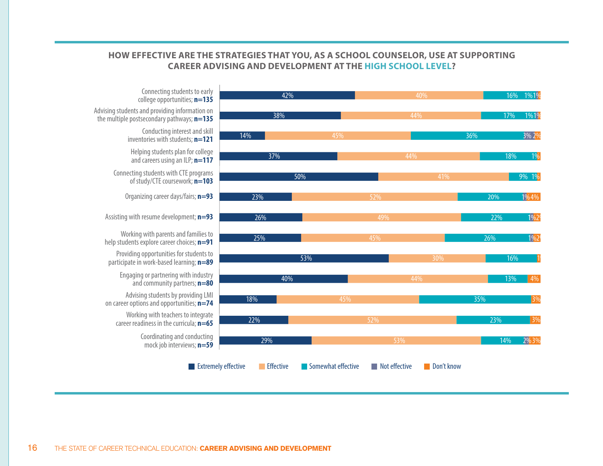#### HOW EFFECTIVE ARE THE STRATEGIES THAT YOU, AS A SCHOOL COUNSELOR, USE AT SUPPORTING **CAREER ADVISING AND DEVELOPMENT AT THE HIGH SCHOOL LEVEL?**

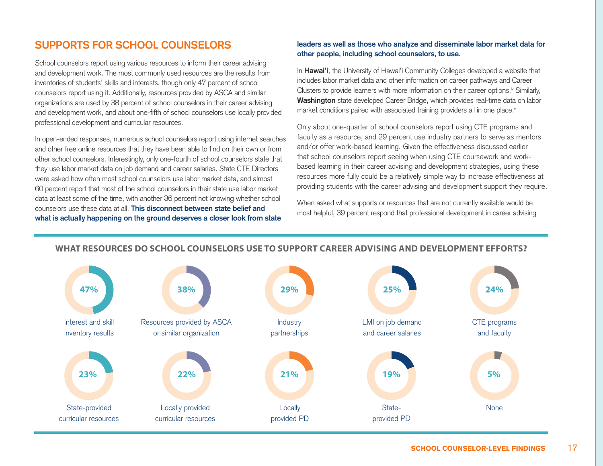## **SUPPORTS FOR SCHOOL COUNSELORS**

School counselors report using various resources to inform their career advising and development work. The most commonly used resources are the results from inventories of students' skills and interests, though only 47 percent of school counselors report using it. Additionally, resources provided by ASCA and similar organizations are used by 38 percent of school counselors in their career advising and development work, and about one-fifth of school counselors use locally provided professional development and curricular resources.

In open-ended responses, numerous school counselors report using internet searches and other free online resources that they have been able to find on their own or from other school counselors. Interestingly, only one-fourth of school counselors state that they use labor market data on job demand and career salaries. State CTE Directors were asked how often most school counselors use labor market data, and almost 60 percent report that most of the school counselors in their state use labor market data at least some of the time, with another 36 percent not knowing whether school counselors use these data at all. **This disconnect between state belief and what is actually happening on the ground deserves a closer look from state** 

#### **leaders as well as those who analyze and disseminate labor market data for other people, including school counselors, to use.**

In **Hawai'i**, the University of Hawai'i Community Colleges developed a website that includes labor market data and other information on career pathways and Career Clusters to provide learners with more information on their career options.<sup>iv</sup> Similarly, **Washington** state developed Career Bridge, which provides real-time data on labor market conditions paired with associated training providers all in one place.<sup>v</sup>

Only about one-quarter of school counselors report using CTE programs and faculty as a resource, and 29 percent use industry partners to serve as mentors and/or offer work-based learning. Given the effectiveness discussed earlier that school counselors report seeing when using CTE coursework and workbased learning in their career advising and development strategies, using these resources more fully could be a relatively simple way to increase effectiveness at providing students with the career advising and development support they require.

When asked what supports or resources that are not currently available would be most helpful, 39 percent respond that professional development in career advising



#### **WHAT RESOURCES DO SCHOOL COUNSELORS USE TO SUPPORT CAREER ADVISING AND DEVELOPMENT EFFORTS?**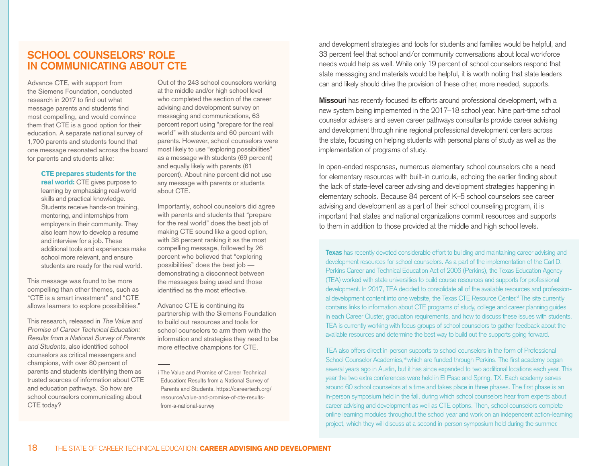### **SCHOOL COUNSELORS' ROLE IN COMMUNICATING ABOUT CTE**

Advance CTE, with support from the Siemens Foundation, conducted research in 2017 to find out what message parents and students find most compelling, and would convince them that CTE is a good option for their education. A separate national survey of 1,700 parents and students found that one message resonated across the board for parents and students alike:

#### CTE prepares students for the

real world: CTE gives purpose to learning by emphasizing real-world skills and practical knowledge. Students receive hands-on training, mentoring, and internships from employers in their community. They also learn how to develop a resume and interview for a job. These additional tools and experiences make school more relevant, and ensure students are ready for the real world.

This message was found to be more compelling than other themes, such as "CTE is a smart investment" and "CTE allows learners to explore possibilities."

This research, released in The Value and Promise of Career Technical Education: Results from a National Survey of Parents and Students, also identified school counselors as critical messengers and champions, with over 80 percent of parents and students identifying them as trusted sources of information about CTE and education pathways.<sup>i</sup> So how are school counselors communicating about CTE today?

Out of the 243 school counselors working at the middle and/or high school level who completed the section of the career advising and development survey on messaging and communications, 63 percent report using "prepare for the real world" with students and 60 percent with parents. However, school counselors were most likely to use "exploring possibilities" as a message with students (69 percent) and equally likely with parents (61 percent). About nine percent did not use any message with parents or students about CTE.

Importantly, school counselors did agree with parents and students that "prepare for the real world" does the best job of making CTE sound like a good option, with 38 percent ranking it as the most compelling message, followed by 26 percent who believed that "exploring possibilities" does the best job demonstrating a disconnect between the messages being used and those identified as the most effective.

Advance CTE is continuing its partnership with the Siemens Foundation to build out resources and tools for school counselors to arm them with the information and strategies they need to be more effective champions for CTE.

and development strategies and tools for students and families would be helpful, and 33 percent feel that school and/or community conversations about local workforce needs would help as well. While only 19 percent of school counselors respond that state messaging and materials would be helpful, it is worth noting that state leaders can and likely should drive the provision of these other, more needed, supports.

**Missouri** has recently focused its efforts around professional development, with a new system being implemented in the 2017–18 school year. Nine part-time school counselor advisers and seven career pathways consultants provide career advising and development through nine regional professional development centers across the state, focusing on helping students with personal plans of study as well as the implementation of programs of study.

In open-ended responses, numerous elementary school counselors cite a need for elementary resources with built-in curricula, echoing the earlier finding about the lack of state-level career advising and development strategies happening in elementary schools. Because 84 percent of K–5 school counselors see career advising and development as a part of their school counseling program, it is important that states and national organizations commit resources and supports to them in addition to those provided at the middle and high school levels.

**Texas** has recently devoted considerable effort to building and maintaining career advising and development resources for school counselors. As a part of the implementation of the Carl D. Perkins Career and Technical Education Act of 2006 (Perkins), the Texas Education Agency (TEA) worked with state universities to build course resources and supports for professional development. In 2017, TEA decided to consolidate all of the available resources and professional development content into one website, the Texas CTE Resource Center.<sup>vi</sup> The site currently contains links to information about CTE programs of study, college and career planning guides in each Career Cluster, graduation requirements, and how to discuss these issues with students. TEA is currently working with focus groups of school counselors to gather feedback about the available resources and determine the best way to build out the supports going forward.

TEA also offers direct in-person supports to school counselors in the form of Professional School Counselor Academies,<sup>vi</sup> which are funded through Perkins. The first academy began several years ago in Austin, but it has since expanded to two additional locations each year. This year the two extra conferences were held in El Paso and Spring, TX. Each academy serves around 60 school counselors at a time and takes place in three phases. The first phase is an in-person symposium held in the fall, during which school counselors hear from experts about career advising and development as well as CTE options. Then, school counselors complete online learning modules throughout the school year and work on an independent action-learning project, which they will discuss at a second in-person symposium held during the summer.

i The Value and Promise of Career Technical Education: Results from a National Survey of Parents and Students, https://careertech.org/ resource/value-and-promise-of-cte-resultsfrom-a-national-survey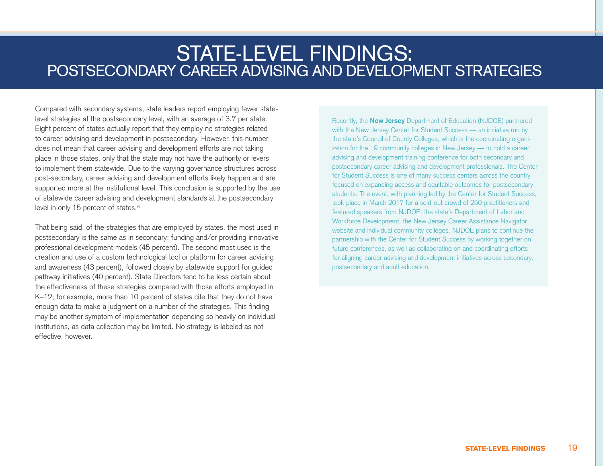## STATE-LEVEL FINDINGS: POSTSECONDARY CAREER ADVISING AND DEVELOPMENT STRATEGIES

Compared with secondary systems, state leaders report employing fewer statelevel strategies at the postsecondary level, with an average of 3.7 per state. Eight percent of states actually report that they employ no strategies related to career advising and development in postsecondary. However, this number does not mean that career advising and development efforts are not taking place in those states, only that the state may not have the authority or levers to implement them statewide. Due to the varying governance structures across post-secondary, career advising and development efforts likely happen and are supported more at the institutional level. This conclusion is supported by the use of statewide career advising and development standards at the postsecondary level in only 15 percent of states.<sup>viii</sup>

That being said, of the strategies that are employed by states, the most used in postsecondary is the same as in secondary: funding and/or providing innovative professional development models (45 percent). The second most used is the creation and use of a custom technological tool or platform for career advising and awareness (43 percent), followed closely by statewide support for guided pathway initiatives (40 percent). State Directors tend to be less certain about the effectiveness of these strategies compared with those efforts employed in K–12; for example, more than 10 percent of states cite that they do not have enough data to make a judgment on a number of the strategies. This finding may be another symptom of implementation depending so heavily on individual institutions, as data collection may be limited. No strategy is labeled as not effective, however.

Recently, the **New Jersey** Department of Education (NJDOE) partnered with the New Jersey Center for Student Success - an initiative run by the state's Council of County Colleges, which is the coordinating organization for the 19 community colleges in New Jersey — to hold a career advising and development training conference for both secondary and postsecondary career advising and development professionals. The Center for Student Success is one of many success centers across the country focused on expanding access and equitable outcomes for postsecondary students. The event, with planning led by the Center for Student Success, took place in March 2017 for a sold-out crowd of 250 practitioners and featured speakers from NJDOE, the state's Department of Labor and Workforce Development, the New Jersey Career Assistance Navigator website and individual community colleges. NJDOE plans to continue the partnership with the Center for Student Success by working together on future conferences, as well as collaborating on and coordinating efforts for aligning career advising and development initiatives across secondary, postsecondary and adult education.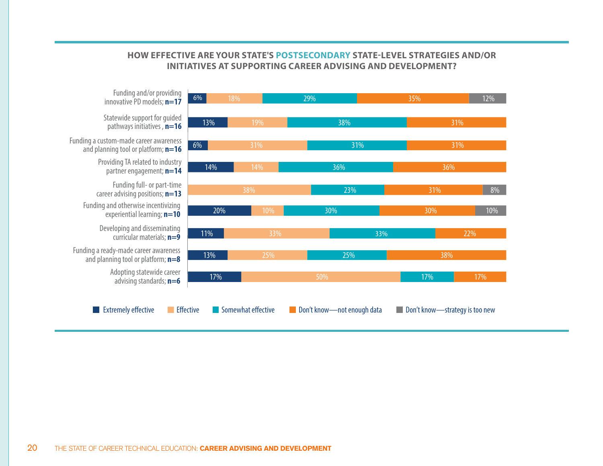## **How eective are your state's postsecondary state-level strategies and/or HOW EFFECTIVE ARE YOUR STATE'S POSTSECONDARY STATE-LEVEL STRATEGIES AND/OR INITIATIVES AT SUPPORTING CAREER ADVISING AND DEVELOPMENT?**

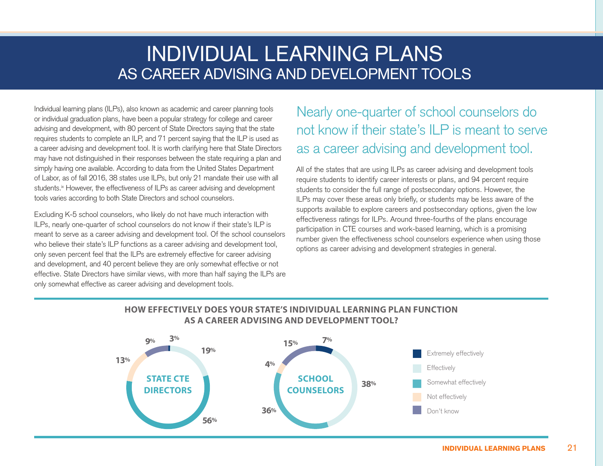# INDIVIDUAL LEARNING PLANS AS CAREER ADVISING AND DEVELOPMENT TOOLS

Individual learning plans (ILPs), also known as academic and career planning tools or individual graduation plans, have been a popular strategy for college and career advising and development, with 80 percent of State Directors saying that the state requires students to complete an ILP, and 71 percent saying that the ILP is used as a career advising and development tool. It is worth clarifying here that State Directors may have not distinguished in their responses between the state requiring a plan and simply having one available. According to data from the United States Department of Labor, as of fall 2016, 38 states use ILPs, but only 21 mandate their use with all students.<sup>ix</sup> However, the effectiveness of ILPs as career advising and development tools varies according to both State Directors and school counselors.

Excluding K-5 school counselors, who likely do not have much interaction with ILPs, nearly one-quarter of school counselors do not know if their state's ILP is meant to serve as a career advising and development tool. Of the school counselors who believe their state's ILP functions as a career advising and development tool, only seven percent feel that the ILPs are extremely effective for career advising and development, and 40 percent believe they are only somewhat effective or not effective. State Directors have similar views, with more than half saying the ILPs are only somewhat effective as career advising and development tools.

## Nearly one-quarter of school counselors do not know if their state's ILP is meant to serve as a career advising and development tool.

All of the states that are using ILPs as career advising and development tools require students to identify career interests or plans, and 94 percent require students to consider the full range of postsecondary options. However, the ILPs may cover these areas only briefly, or students may be less aware of the supports available to explore careers and postsecondary options, given the low effectiveness ratings for ILPs. Around three-fourths of the plans encourage participation in CTE courses and work-based learning, which is a promising number given the effectiveness school counselors experience when using those options as career advising and development strategies in general.

### **HOW EFFECTIVELY DOES YOUR STATE'S INDIVIDUAL LEARNING PLAN FUNCTION AS A CAREER ADVISING AND DEVELOPMENT TOOL?**

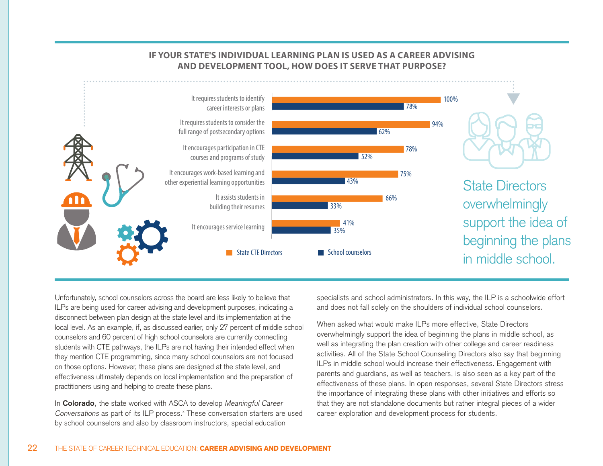

0% 10% 20% 30% 40% 50% 60% 70% 80% 90% 100%

#### **AND DEVELOPMENT TOOL, HOW DOES IT SERVE THAT PURPOSE? IF YOUR STATE'S INDIVIDUAL LEARNING PLAN IS USED AS A CAREER ADVISING**

Unfortunately, school counselors across the board are less likely to believe that ILPs are being used for career advising and development purposes, indicating a disconnect between plan design at the state level and its implementation at the local level. As an example, if, as discussed earlier, only 27 percent of middle school counselors and 60 percent of high school counselors are currently connecting students with CTE pathways, the ILPs are not having their intended effect when they mention CTE programming, since many school counselors are not focused on those options. However, these plans are designed at the state level, and effectiveness ultimately depends on local implementation and the preparation of practitioners using and helping to create these plans.

In **Colorado**, the state worked with ASCA to develop Meaningful Career Conversations as part of its ILP process.<sup>x</sup> These conversation starters are used by school counselors and also by classroom instructors, special education

specialists and school administrators. In this way, the ILP is a schoolwide effort and does not fall solely on the shoulders of individual school counselors.

When asked what would make ILPs more effective, State Directors overwhelmingly support the idea of beginning the plans in middle school, as well as integrating the plan creation with other college and career readiness activities. All of the State School Counseling Directors also say that beginning ILPs in middle school would increase their effectiveness. Engagement with parents and guardians, as well as teachers, is also seen as a key part of the effectiveness of these plans. In open responses, several State Directors stress the importance of integrating these plans with other initiatives and efforts so that they are not standalone documents but rather integral pieces of a wider career exploration and development process for students.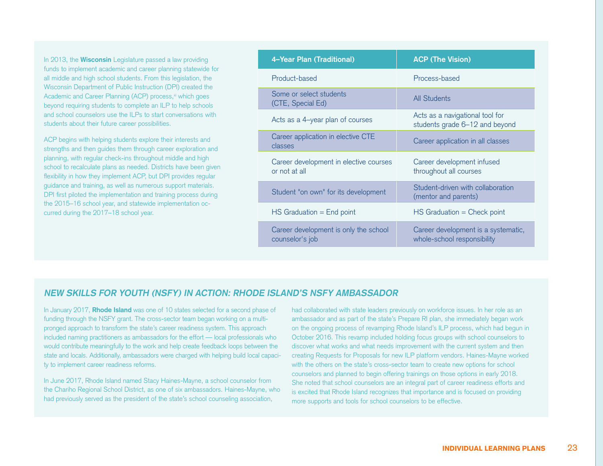In 2013, the **Wisconsin** Legislature passed a law providing funds to implement academic and career planning statewide for all middle and high school students. From this legislation, the Wisconsin Department of Public Instruction (DPI) created the Academic and Career Planning (ACP) process,<sup>xi</sup> which goes beyond requiring students to complete an ILP to help schools and school counselors use the ILPs to start conversations with students about their future career possibilities.

ACP begins with helping students explore their interests and strengths and then guides them through career exploration and planning, with regular check-ins throughout middle and high school to recalculate plans as needed. Districts have been given flexibility in how they implement ACP, but DPI provides regular guidance and training, as well as numerous support materials. DPI first piloted the implementation and training process during the 2015–16 school year, and statewide implementation occurred during the 2017–18 school year.

| 4-Year Plan (Traditional)                                | <b>ACP (The Vision)</b>                                            |
|----------------------------------------------------------|--------------------------------------------------------------------|
| Product-based                                            | Process-based                                                      |
| Some or select students<br>(CTE, Special Ed)             | <b>All Students</b>                                                |
| Acts as a 4-year plan of courses                         | Acts as a navigational tool for<br>students grade 6-12 and beyond  |
| Career application in elective CTE<br>classes            | Career application in all classes                                  |
| Career development in elective courses<br>or not at all  | Career development infused<br>throughout all courses               |
| Student "on own" for its development                     | Student-driven with collaboration<br>(mentor and parents)          |
| $HS$ Graduation = End point                              | $HS$ Graduation = Check point                                      |
| Career development is only the school<br>counselor's job | Career development is a systematic,<br>whole-school responsibility |

#### **NEW SKILLS FOR YOUTH (NSFY) IN ACTION: RHODE ISLAND'S NSFY AMBASSADOR**

In January 2017, **Rhode Island** was one of 10 states selected for a second phase of funding through the NSFY grant. The cross-sector team began working on a multipronged approach to transform the state's career readiness system. This approach included naming practitioners as ambassadors for the effort — local professionals who would contribute meaningfully to the work and help create feedback loops between the state and locals. Additionally, ambassadors were charged with helping build local capacity to implement career readiness reforms.

In June 2017, Rhode Island named Stacy Haines-Mayne, a school counselor from the Chariho Regional School District, as one of six ambassadors. Haines-Mayne, who had previously served as the president of the state's school counseling association,

had collaborated with state leaders previously on workforce issues. In her role as an ambassador and as part of the state's Prepare RI plan, she immediately began work on the ongoing process of revamping Rhode Island's ILP process, which had begun in October 2016. This revamp included holding focus groups with school counselors to discover what works and what needs improvement with the current system and then creating Requests for Proposals for new ILP platform vendors. Haines-Mayne worked with the others on the state's cross-sector team to create new options for school counselors and planned to begin offering trainings on those options in early 2018. She noted that school counselors are an integral part of career readiness efforts and is excited that Rhode Island recognizes that importance and is focused on providing more supports and tools for school counselors to be effective.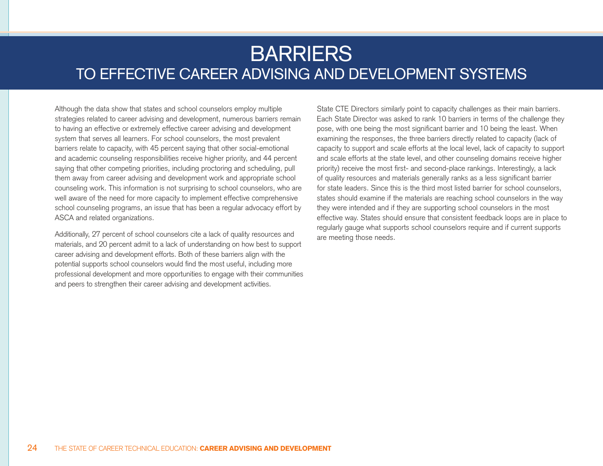# BARRIERS TO EFFECTIVE CAREER ADVISING AND DEVELOPMENT SYSTEMS

Although the data show that states and school counselors employ multiple strategies related to career advising and development, numerous barriers remain to having an effective or extremely effective career advising and development system that serves all learners. For school counselors, the most prevalent barriers relate to capacity, with 45 percent saying that other social-emotional and academic counseling responsibilities receive higher priority, and 44 percent saying that other competing priorities, including proctoring and scheduling, pull them away from career advising and development work and appropriate school counseling work. This information is not surprising to school counselors, who are well aware of the need for more capacity to implement effective comprehensive school counseling programs, an issue that has been a regular advocacy effort by ASCA and related organizations.

Additionally, 27 percent of school counselors cite a lack of quality resources and materials, and 20 percent admit to a lack of understanding on how best to support career advising and development efforts. Both of these barriers align with the potential supports school counselors would find the most useful, including more professional development and more opportunities to engage with their communities and peers to strengthen their career advising and development activities.

State CTE Directors similarly point to capacity challenges as their main barriers. Each State Director was asked to rank 10 barriers in terms of the challenge they pose, with one being the most significant barrier and 10 being the least. When examining the responses, the three barriers directly related to capacity (lack of capacity to support and scale efforts at the local level, lack of capacity to support and scale efforts at the state level, and other counseling domains receive higher priority) receive the most first- and second-place rankings. Interestingly, a lack of quality resources and materials generally ranks as a less significant barrier for state leaders. Since this is the third most listed barrier for school counselors, states should examine if the materials are reaching school counselors in the way they were intended and if they are supporting school counselors in the most effective way. States should ensure that consistent feedback loops are in place to regularly gauge what supports school counselors require and if current supports are meeting those needs.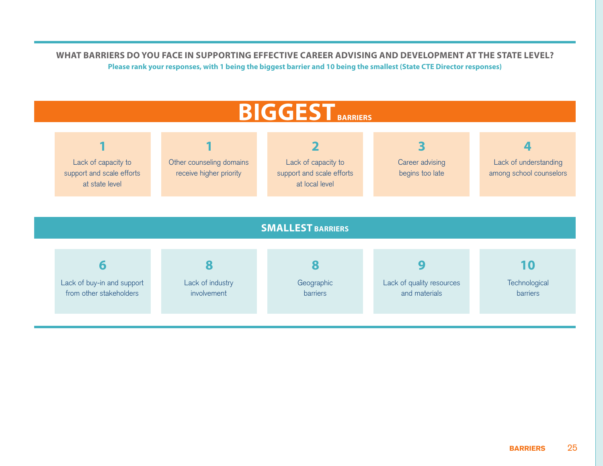**WHAT BARRIERS DO YOU FACE IN SUPPORTING EFFECTIVE CAREER ADVISING AND DEVELOPMENT AT THE STATE LEVEL? Please rank your responses, with 1 being the biggest barrier and 10 being the smallest (State CTE Director responses)**

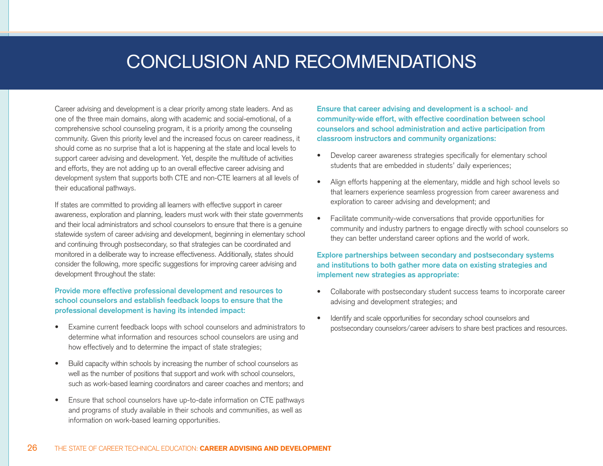# CONCLUSION AND RECOMMENDATIONS

Career advising and development is a clear priority among state leaders. And as one of the three main domains, along with academic and social-emotional, of a comprehensive school counseling program, it is a priority among the counseling community. Given this priority level and the increased focus on career readiness, it should come as no surprise that a lot is happening at the state and local levels to support career advising and development. Yet, despite the multitude of activities and efforts, they are not adding up to an overall effective career advising and development system that supports both CTE and non-CTE learners at all levels of their educational pathways.

If states are committed to providing all learners with effective support in career awareness, exploration and planning, leaders must work with their state governments and their local administrators and school counselors to ensure that there is a genuine statewide system of career advising and development, beginning in elementary school and continuing through postsecondary, so that strategies can be coordinated and monitored in a deliberate way to increase effectiveness. Additionally, states should consider the following, more specific suggestions for improving career advising and development throughout the state:

**Provide more effective professional development and resources to school counselors and establish feedback loops to ensure that the professional development is having its intended impact:** 

- Examine current feedback loops with school counselors and administrators to determine what information and resources school counselors are using and how effectively and to determine the impact of state strategies;
- Build capacity within schools by increasing the number of school counselors as well as the number of positions that support and work with school counselors, such as work-based learning coordinators and career coaches and mentors; and
- Ensure that school counselors have up-to-date information on CTE pathways and programs of study available in their schools and communities, as well as information on work-based learning opportunities.

**Ensure that career advising and development is a school- and community-wide effort, with effective coordination between school counselors and school administration and active participation from classroom instructors and community organizations:** 

- Develop career awareness strategies specifically for elementary school students that are embedded in students' daily experiences;
- Align efforts happening at the elementary, middle and high school levels so that learners experience seamless progression from career awareness and exploration to career advising and development; and
- Facilitate community-wide conversations that provide opportunities for community and industry partners to engage directly with school counselors so they can better understand career options and the world of work.

#### **Explore partnerships between secondary and postsecondary systems and institutions to both gather more data on existing strategies and implement new strategies as appropriate:**

- Collaborate with postsecondary student success teams to incorporate career advising and development strategies; and
- Identify and scale opportunities for secondary school counselors and postsecondary counselors/career advisers to share best practices and resources.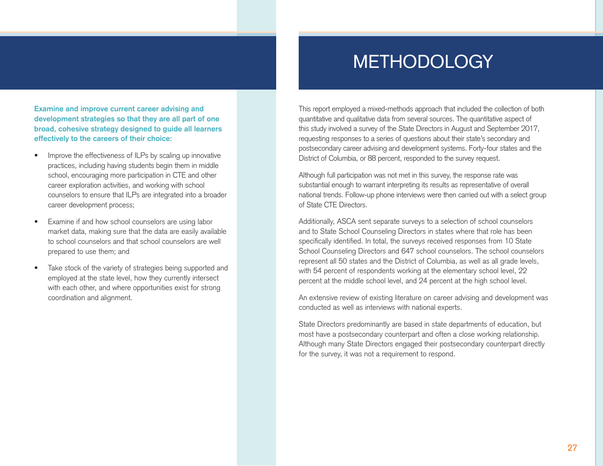# **METHODOLOGY**

**Examine and improve current career advising and development strategies so that they are all part of one broad, cohesive strategy designed to guide all learners effectively to the careers of their choice:** 

- Improve the effectiveness of ILPs by scaling up innovative practices, including having students begin them in middle school, encouraging more participation in CTE and other career exploration activities, and working with school counselors to ensure that ILPs are integrated into a broader career development process;
- Examine if and how school counselors are using labor market data, making sure that the data are easily available to school counselors and that school counselors are well prepared to use them; and
- Take stock of the variety of strategies being supported and employed at the state level, how they currently intersect with each other, and where opportunities exist for strong coordination and alignment.

This report employed a mixed-methods approach that included the collection of both quantitative and qualitative data from several sources. The quantitative aspect of this study involved a survey of the State Directors in August and September 2017, requesting responses to a series of questions about their state's secondary and postsecondary career advising and development systems. Forty-four states and the District of Columbia, or 88 percent, responded to the survey request.

Although full participation was not met in this survey, the response rate was substantial enough to warrant interpreting its results as representative of overall national trends. Follow-up phone interviews were then carried out with a select group of State CTE Directors.

Additionally, ASCA sent separate surveys to a selection of school counselors and to State School Counseling Directors in states where that role has been specifically identified. In total, the surveys received responses from 10 State School Counseling Directors and 647 school counselors. The school counselors represent all 50 states and the District of Columbia, as well as all grade levels, with 54 percent of respondents working at the elementary school level, 22 percent at the middle school level, and 24 percent at the high school level.

An extensive review of existing literature on career advising and development was conducted as well as interviews with national experts.

State Directors predominantly are based in state departments of education, but most have a postsecondary counterpart and often a close working relationship. Although many State Directors engaged their postsecondary counterpart directly for the survey, it was not a requirement to respond.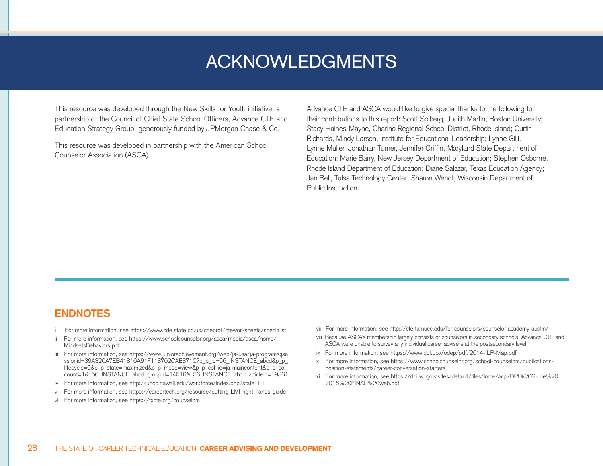## ACKNOWLEDGMENTS

This resource was developed through the New Skills for Youth initiative, a partnership of the Council of Chief State School Officers, Advance CTE and Education Strategy Group, generously funded by JPMorgan Chase & Co.

This resource was developed in partnership with the American School Counselor Association (ASCA).

Advance CTE and ASCA would like to give special thanks to the following for their contributions to this report: Scott Solberg, Judith Martin, Boston University; Stacy Haines-Mayne, Chariho Regional School District, Rhode Island; Curtis Richards, Mindy Larson, Institute for Educational Leadership; Lynne Gilli, Lynne Muller, Jonathan Turner, Jennifer Griffin, Maryland State Department of Education; Marie Barry, New Jersey Department of Education; Stephen Osborne, Rhode Island Department of Education; Diane Salazar, Texas Education Agency; Jan Bell, Tulsa Technology Center; Sharon Wendt, Wisconsin Department of Public Instruction.

### **ENDNOTES**

- i For more information, see https://www.cde.state.co.us/cdeprof/cteworksheets/specialist
- ii For more information, see https://www.schoolcounselor.org/asca/media/asca/home/ MindsetsBehaviors.pdf
- iii For more information, see https://www.juniorachievement.org/web/ja-usa/ja-programs;jse ssionid=39A320A7EB41816A91F113702CAE371C?p\_p\_id=56\_INSTANCE\_abcd&p\_p lifecycle=0&p\_p\_state=maximized&p\_p\_mode=view&p\_p\_col\_id=ja-maincontent&p\_p\_col\_ count=1&\_56\_INSTANCE\_abcd\_groupId=14516&\_56\_INSTANCE\_abcd\_articleId=19361
- iv For more information, see http://uhcc.hawaii.edu/workforce/index.php?state=HI
- v For more information, see https://careertech.org/resource/putting-LMI-right-hands-guide
- vi For more information, see https://txcte.org/counselors
- vii For more information, see http://cte.tamucc.edu/for-counselors/counselor-academy-austin/
- viii Because ASCA's membership largely consists of counselors in secondary schools, Advance CTE and ASCA were unable to survey any individual career advisers at the postsecondary level.
- ix For more information, see https://www.dol.gov/odep/pdf/2014-ILP-Map.pdf
- For more information, see https://www.schoolcounselor.org/school-counselors/publicationsposition-statements/career-conversation-starters
- xi For more information, see https://dpi.wi.gov/sites/default/files/imce/acp/DPI%20Guide%20 2016%20FINAL%20web.pdf